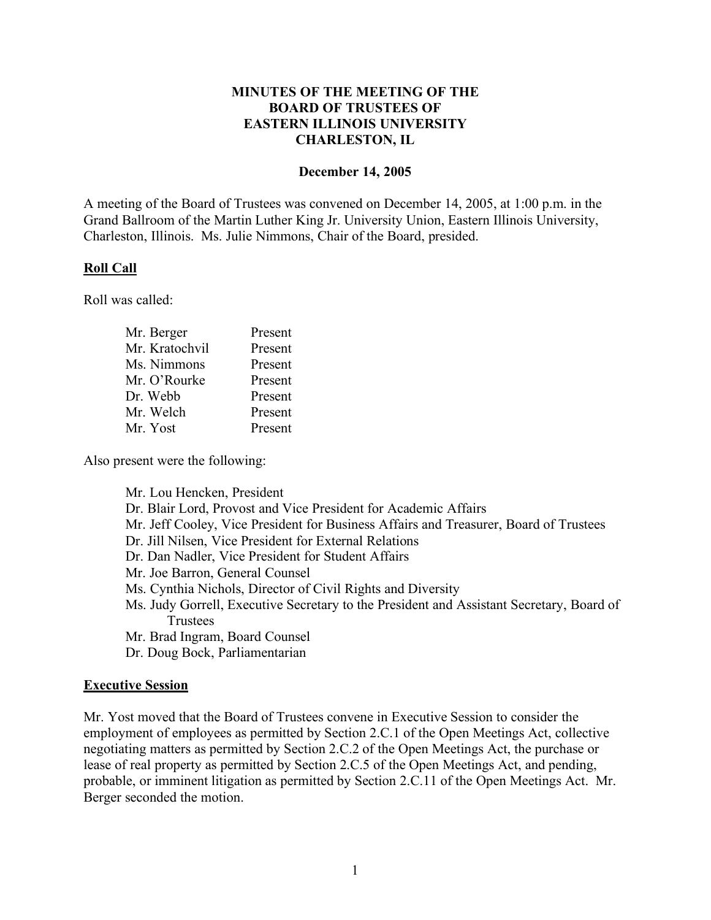# **MINUTES OF THE MEETING OF THE BOARD OF TRUSTEES OF EASTERN ILLINOIS UNIVERSITY CHARLESTON, IL**

#### **December 14, 2005**

A meeting of the Board of Trustees was convened on December 14, 2005, at 1:00 p.m. in the Grand Ballroom of the Martin Luther King Jr. University Union, Eastern Illinois University, Charleston, Illinois. Ms. Julie Nimmons, Chair of the Board, presided.

### **Roll Call**

Roll was called:

| Present |
|---------|
| Present |
| Present |
| Present |
| Present |
| Present |
| Present |
|         |

Also present were the following:

Mr. Lou Hencken, President Dr. Blair Lord, Provost and Vice President for Academic Affairs Mr. Jeff Cooley, Vice President for Business Affairs and Treasurer, Board of Trustees Dr. Jill Nilsen, Vice President for External Relations Dr. Dan Nadler, Vice President for Student Affairs Mr. Joe Barron, General Counsel Ms. Cynthia Nichols, Director of Civil Rights and Diversity Ms. Judy Gorrell, Executive Secretary to the President and Assistant Secretary, Board of **Trustees** Mr. Brad Ingram, Board Counsel Dr. Doug Bock, Parliamentarian

### **Executive Session**

Mr. Yost moved that the Board of Trustees convene in Executive Session to consider the employment of employees as permitted by Section 2.C.1 of the Open Meetings Act, collective negotiating matters as permitted by Section 2.C.2 of the Open Meetings Act, the purchase or lease of real property as permitted by Section 2.C.5 of the Open Meetings Act, and pending, probable, or imminent litigation as permitted by Section 2.C.11 of the Open Meetings Act. Mr. Berger seconded the motion.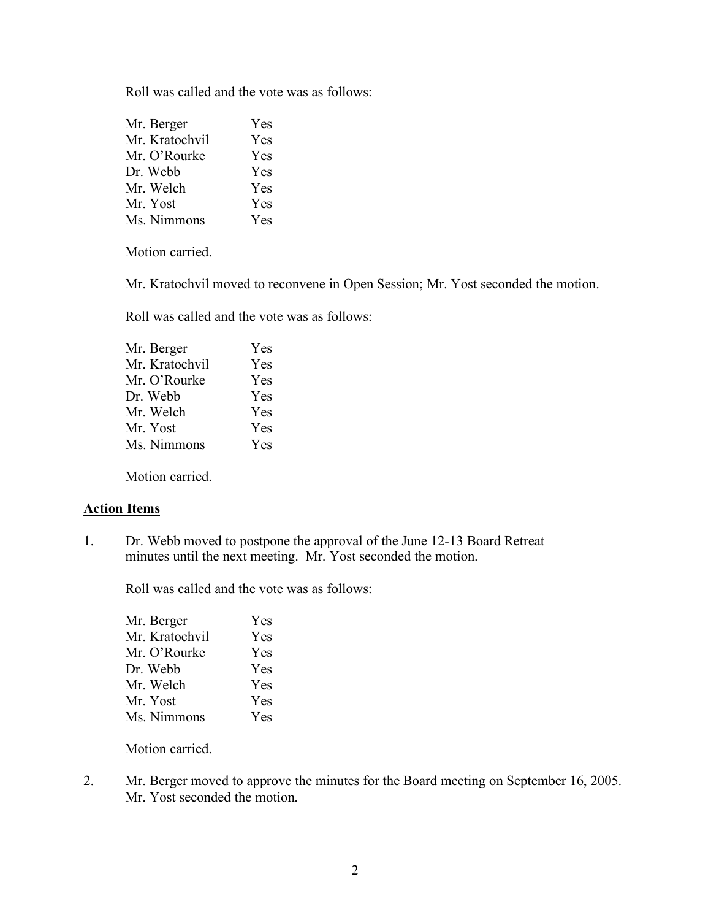| Mr. Berger     | Yes |
|----------------|-----|
| Mr. Kratochvil | Yes |
| Mr. O'Rourke   | Yes |
| Dr. Webb       | Yes |
| Mr. Welch      | Yes |
| Mr. Yost       | Yes |
| Ms. Nimmons    | Yes |

Motion carried.

Mr. Kratochvil moved to reconvene in Open Session; Mr. Yost seconded the motion.

Roll was called and the vote was as follows:

| Mr. Berger     | Yes |
|----------------|-----|
| Mr. Kratochvil | Yes |
| Mr. O'Rourke   | Yes |
| Dr. Webb       | Yes |
| Mr. Welch      | Yes |
| Mr. Yost       | Yes |
| Ms. Nimmons    | Yes |
|                |     |

Motion carried.

### **Action Items**

1. Dr. Webb moved to postpone the approval of the June 12-13 Board Retreat minutes until the next meeting. Mr. Yost seconded the motion.

Roll was called and the vote was as follows:

| Mr. Berger     | Yes        |
|----------------|------------|
| Mr. Kratochvil | Yes        |
| Mr. O'Rourke   | Yes        |
| Dr. Webb       | <b>Yes</b> |
| Mr. Welch      | Yes        |
| Mr. Yost       | Yes        |
| Ms. Nimmons    | Yes        |
|                |            |

Motion carried.

2. Mr. Berger moved to approve the minutes for the Board meeting on September 16, 2005. Mr. Yost seconded the motion.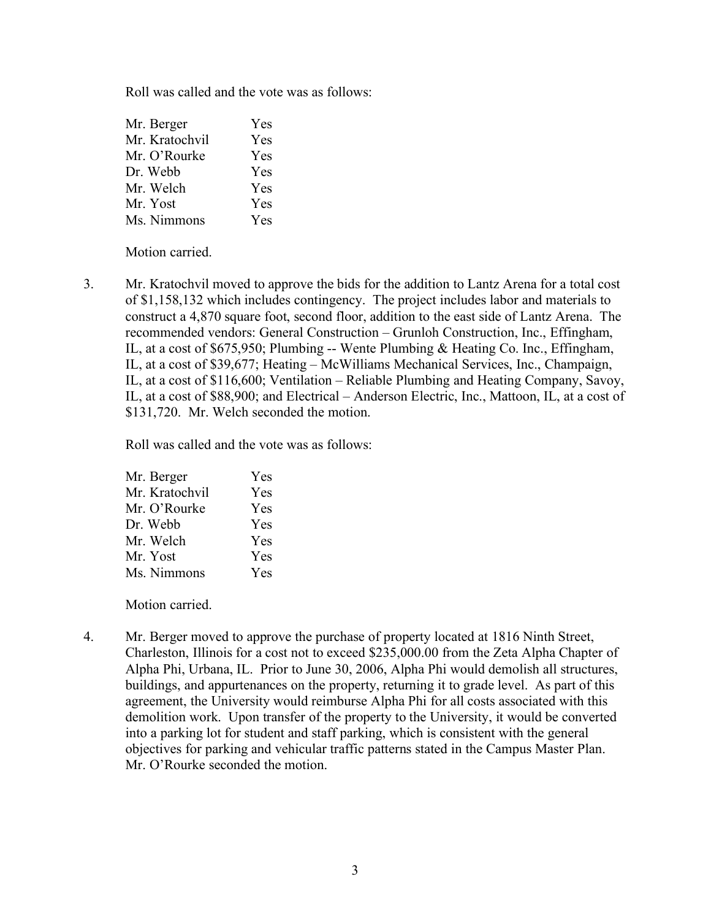| Mr. Berger     | Yes        |
|----------------|------------|
| Mr. Kratochvil | Yes        |
| Mr. O'Rourke   | Yes        |
| Dr. Webb       | Yes        |
| Mr. Welch      | Yes        |
| Mr. Yost       | <b>Yes</b> |
| Ms. Nimmons    | Yes        |

Motion carried.

3. Mr. Kratochvil moved to approve the bids for the addition to Lantz Arena for a total cost of \$1,158,132 which includes contingency. The project includes labor and materials to construct a 4,870 square foot, second floor, addition to the east side of Lantz Arena. The recommended vendors: General Construction – Grunloh Construction, Inc., Effingham, IL, at a cost of \$675,950; Plumbing -- Wente Plumbing & Heating Co. Inc., Effingham, IL, at a cost of \$39,677; Heating – McWilliams Mechanical Services, Inc., Champaign, IL, at a cost of \$116,600; Ventilation – Reliable Plumbing and Heating Company, Savoy, IL, at a cost of \$88,900; and Electrical – Anderson Electric, Inc., Mattoon, IL, at a cost of \$131,720. Mr. Welch seconded the motion.

Roll was called and the vote was as follows:

| Mr. Berger     | Yes |
|----------------|-----|
| Mr. Kratochvil | Yes |
| Mr. O'Rourke   | Yes |
| Dr. Webb       | Yes |
| Mr. Welch      | Yes |
| Mr. Yost       | Yes |
| Ms. Nimmons    | Yes |

Motion carried.

4. Mr. Berger moved to approve the purchase of property located at 1816 Ninth Street, Charleston, Illinois for a cost not to exceed \$235,000.00 from the Zeta Alpha Chapter of Alpha Phi, Urbana, IL. Prior to June 30, 2006, Alpha Phi would demolish all structures, buildings, and appurtenances on the property, returning it to grade level. As part of this agreement, the University would reimburse Alpha Phi for all costs associated with this demolition work. Upon transfer of the property to the University, it would be converted into a parking lot for student and staff parking, which is consistent with the general objectives for parking and vehicular traffic patterns stated in the Campus Master Plan. Mr. O'Rourke seconded the motion.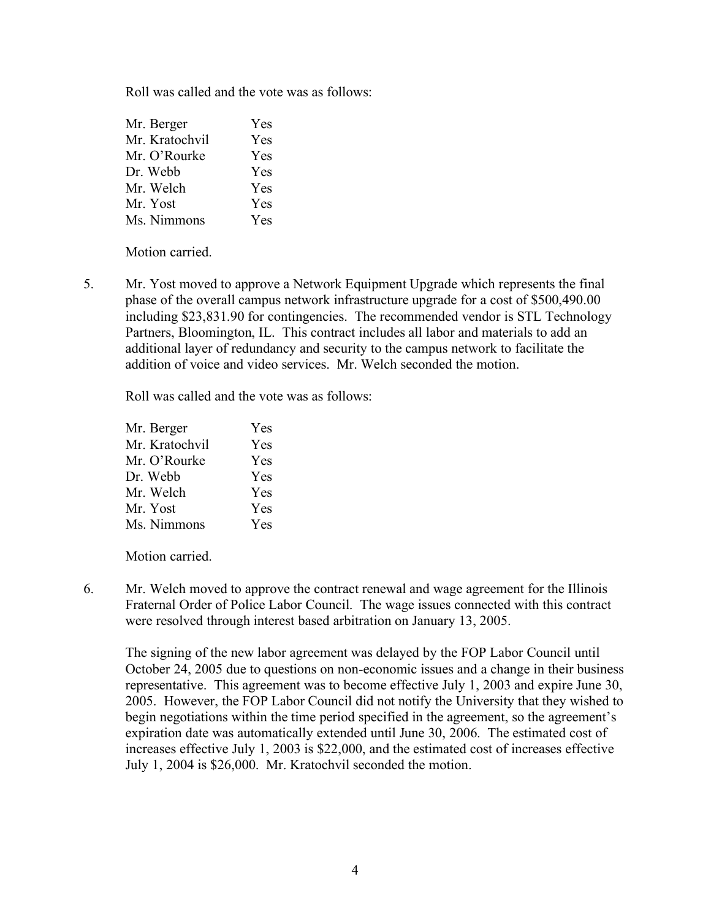| Mr. Berger     | Yes        |
|----------------|------------|
| Mr. Kratochvil | Yes        |
| Mr. O'Rourke   | <b>Yes</b> |
| Dr. Webb       | Yes        |
| Mr. Welch      | <b>Yes</b> |
| Mr. Yost       | <b>Yes</b> |
| Ms. Nimmons    | Yes        |

Motion carried.

5. Mr. Yost moved to approve a Network Equipment Upgrade which represents the final phase of the overall campus network infrastructure upgrade for a cost of \$500,490.00 including \$23,831.90 for contingencies. The recommended vendor is STL Technology Partners, Bloomington, IL. This contract includes all labor and materials to add an additional layer of redundancy and security to the campus network to facilitate the addition of voice and video services. Mr. Welch seconded the motion.

Roll was called and the vote was as follows:

| Yes        |
|------------|
| Yes        |
| Yes        |
| <b>Yes</b> |
| <b>Yes</b> |
| Yes        |
| Yes        |
|            |

Motion carried.

6. Mr. Welch moved to approve the contract renewal and wage agreement for the Illinois Fraternal Order of Police Labor Council. The wage issues connected with this contract were resolved through interest based arbitration on January 13, 2005.

The signing of the new labor agreement was delayed by the FOP Labor Council until October 24, 2005 due to questions on non-economic issues and a change in their business representative. This agreement was to become effective July 1, 2003 and expire June 30, 2005. However, the FOP Labor Council did not notify the University that they wished to begin negotiations within the time period specified in the agreement, so the agreement's expiration date was automatically extended until June 30, 2006. The estimated cost of increases effective July 1, 2003 is \$22,000, and the estimated cost of increases effective July 1, 2004 is \$26,000. Mr. Kratochvil seconded the motion.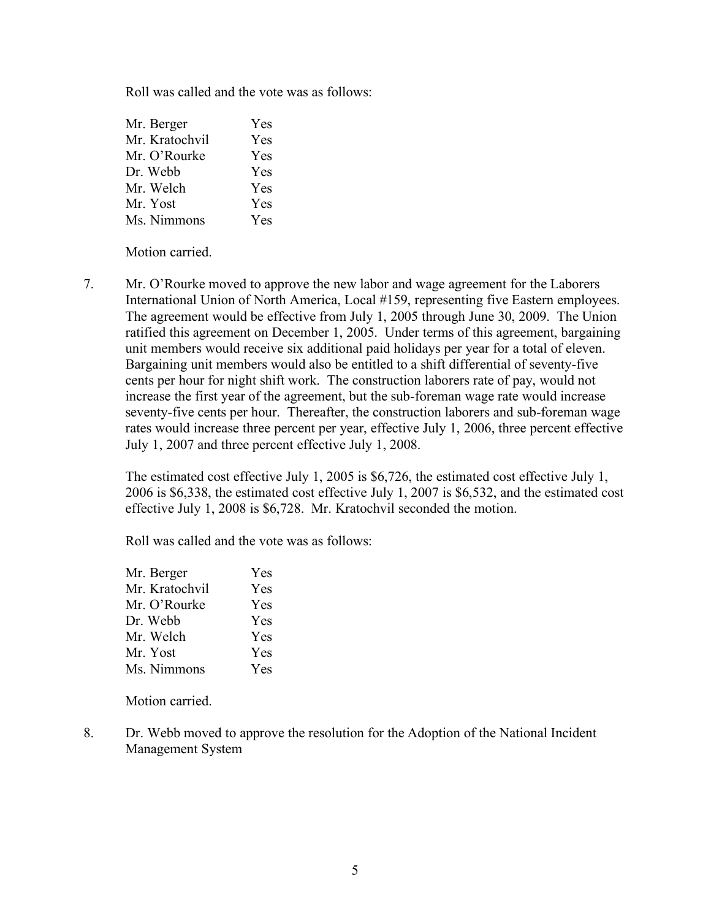| Mr. Berger     | Yes        |
|----------------|------------|
| Mr. Kratochvil | Yes        |
| Mr. O'Rourke   | <b>Yes</b> |
| Dr. Webb       | <b>Yes</b> |
| Mr. Welch      | Yes        |
| Mr. Yost       | <b>Yes</b> |
| Ms. Nimmons    | Yes        |

Motion carried.

7. Mr. O'Rourke moved to approve the new labor and wage agreement for the Laborers International Union of North America, Local #159, representing five Eastern employees. The agreement would be effective from July 1, 2005 through June 30, 2009. The Union ratified this agreement on December 1, 2005. Under terms of this agreement, bargaining unit members would receive six additional paid holidays per year for a total of eleven. Bargaining unit members would also be entitled to a shift differential of seventy-five cents per hour for night shift work. The construction laborers rate of pay, would not increase the first year of the agreement, but the sub-foreman wage rate would increase seventy-five cents per hour. Thereafter, the construction laborers and sub-foreman wage rates would increase three percent per year, effective July 1, 2006, three percent effective July 1, 2007 and three percent effective July 1, 2008.

The estimated cost effective July 1, 2005 is \$6,726, the estimated cost effective July 1, 2006 is \$6,338, the estimated cost effective July 1, 2007 is \$6,532, and the estimated cost effective July 1, 2008 is \$6,728. Mr. Kratochvil seconded the motion.

Roll was called and the vote was as follows:

| Mr. Berger     | Yes |
|----------------|-----|
| Mr. Kratochvil | Yes |
| Mr. O'Rourke   | Yes |
| Dr. Webb       | Yes |
| Mr. Welch      | Yes |
| Mr. Yost       | Yes |
| Ms. Nimmons    | Yes |

Motion carried.

8. Dr. Webb moved to approve the resolution for the Adoption of the National Incident Management System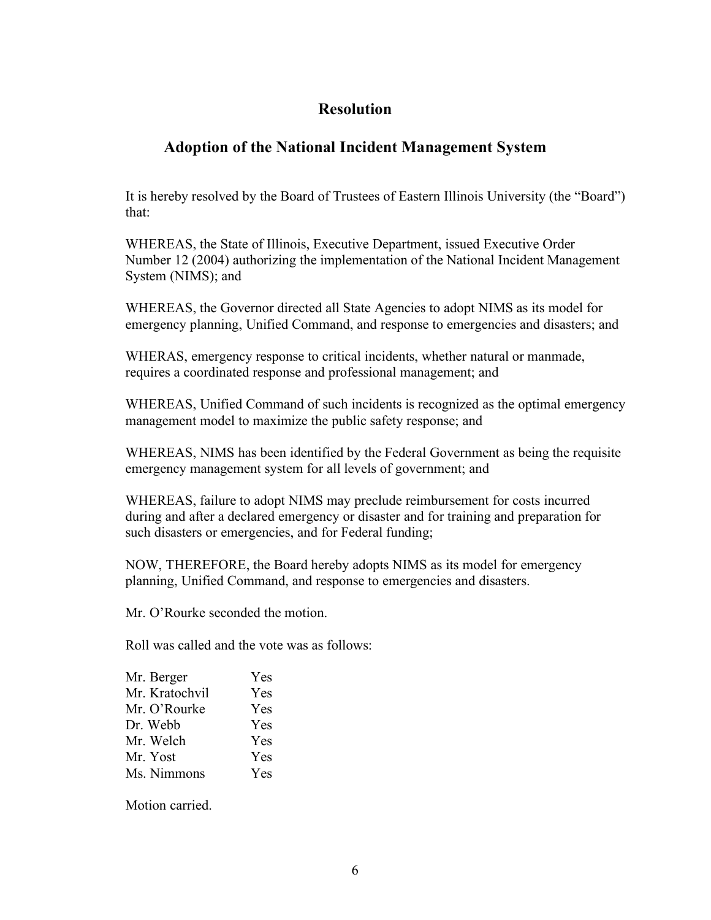# **Resolution**

# **Adoption of the National Incident Management System**

It is hereby resolved by the Board of Trustees of Eastern Illinois University (the "Board") that:

WHEREAS, the State of Illinois, Executive Department, issued Executive Order Number 12 (2004) authorizing the implementation of the National Incident Management System (NIMS); and

WHEREAS, the Governor directed all State Agencies to adopt NIMS as its model for emergency planning, Unified Command, and response to emergencies and disasters; and

WHERAS, emergency response to critical incidents, whether natural or manmade, requires a coordinated response and professional management; and

WHEREAS, Unified Command of such incidents is recognized as the optimal emergency management model to maximize the public safety response; and

WHEREAS, NIMS has been identified by the Federal Government as being the requisite emergency management system for all levels of government; and

WHEREAS, failure to adopt NIMS may preclude reimbursement for costs incurred during and after a declared emergency or disaster and for training and preparation for such disasters or emergencies, and for Federal funding;

NOW, THEREFORE, the Board hereby adopts NIMS as its model for emergency planning, Unified Command, and response to emergencies and disasters.

Mr. O'Rourke seconded the motion.

Roll was called and the vote was as follows:

| Mr. Berger     | Yes        |
|----------------|------------|
| Mr. Kratochvil | Yes        |
| Mr. O'Rourke   | <b>Yes</b> |
| Dr. Webb       | <b>Yes</b> |
| Mr. Welch      | <b>Yes</b> |
| Mr. Yost       | <b>Yes</b> |
| Ms. Nimmons    | Yes        |
|                |            |

Motion carried.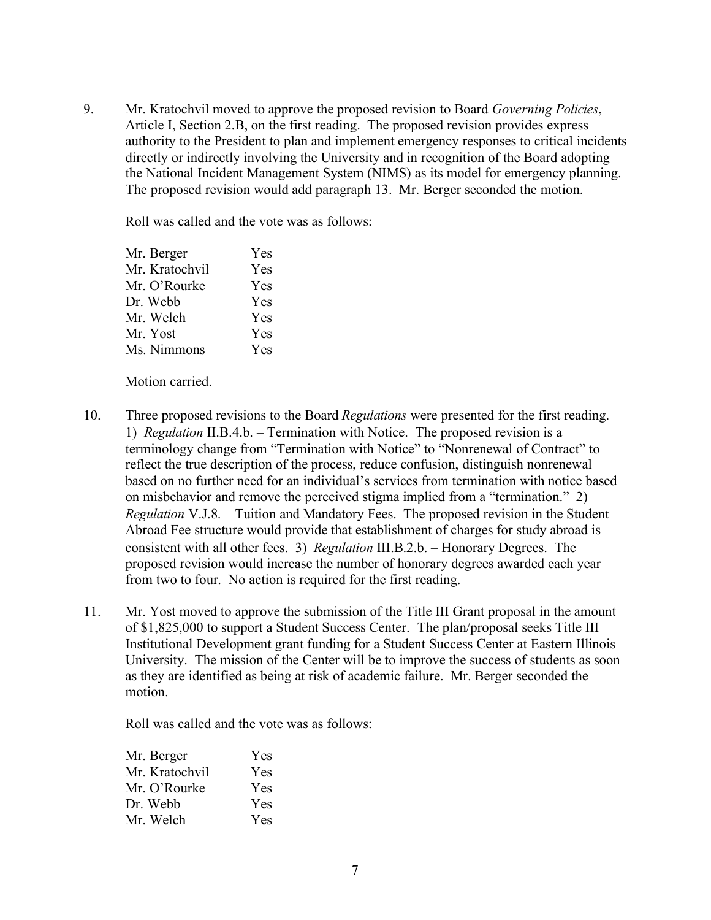9. Mr. Kratochvil moved to approve the proposed revision to Board *Governing Policies*, Article I, Section 2.B, on the first reading. The proposed revision provides express authority to the President to plan and implement emergency responses to critical incidents directly or indirectly involving the University and in recognition of the Board adopting the National Incident Management System (NIMS) as its model for emergency planning. The proposed revision would add paragraph 13. Mr. Berger seconded the motion.

Roll was called and the vote was as follows:

| Yes |
|-----|
| Yes |
| Yes |
| Yes |
| Yes |
| Yes |
| Yes |
|     |

Motion carried.

- 10. Three proposed revisions to the Board *Regulations* were presented for the first reading. 1) *Regulation* II.B.4.b. – Termination with Notice. The proposed revision is a terminology change from "Termination with Notice" to "Nonrenewal of Contract" to reflect the true description of the process, reduce confusion, distinguish nonrenewal based on no further need for an individual's services from termination with notice based on misbehavior and remove the perceived stigma implied from a "termination." 2) *Regulation* V.J.8. – Tuition and Mandatory Fees. The proposed revision in the Student Abroad Fee structure would provide that establishment of charges for study abroad is consistent with all other fees. 3) *Regulation* III.B.2.b. – Honorary Degrees. The proposed revision would increase the number of honorary degrees awarded each year from two to four. No action is required for the first reading.
- 11. Mr. Yost moved to approve the submission of the Title III Grant proposal in the amount of \$1,825,000 to support a Student Success Center. The plan/proposal seeks Title III Institutional Development grant funding for a Student Success Center at Eastern Illinois University. The mission of the Center will be to improve the success of students as soon as they are identified as being at risk of academic failure. Mr. Berger seconded the motion.

Roll was called and the vote was as follows:

| Mr. Berger     | Yes |
|----------------|-----|
| Mr. Kratochvil | Yes |
| Mr. O'Rourke   | Yes |
| Dr. Webb       | Yes |
| Mr. Welch      | Yes |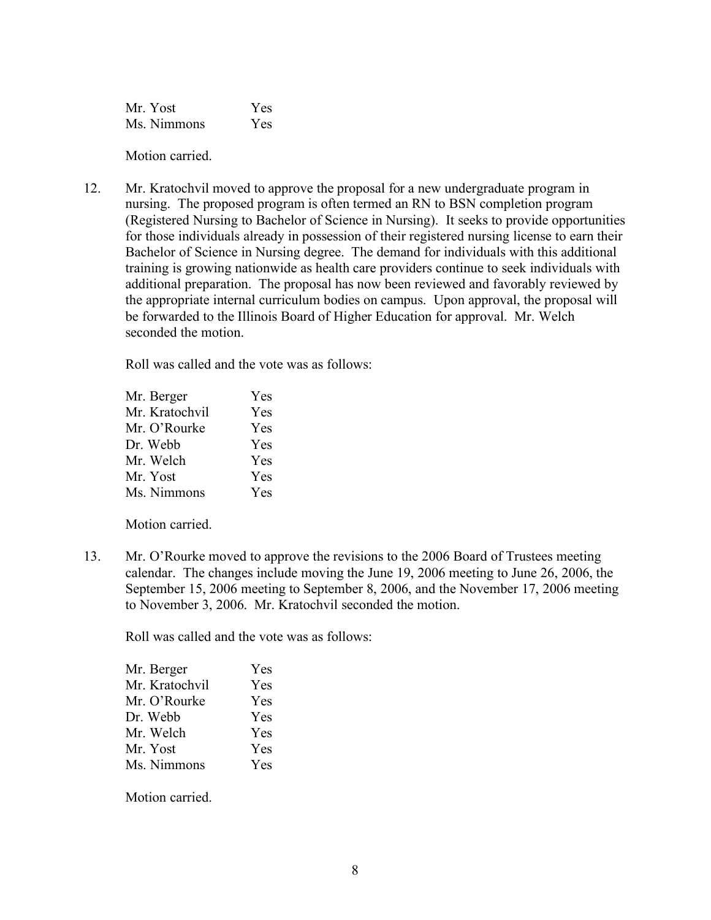Mr. Yost Yes Ms. Nimmons Yes

Motion carried.

12. Mr. Kratochvil moved to approve the proposal for a new undergraduate program in nursing. The proposed program is often termed an RN to BSN completion program (Registered Nursing to Bachelor of Science in Nursing). It seeks to provide opportunities for those individuals already in possession of their registered nursing license to earn their Bachelor of Science in Nursing degree. The demand for individuals with this additional training is growing nationwide as health care providers continue to seek individuals with additional preparation. The proposal has now been reviewed and favorably reviewed by the appropriate internal curriculum bodies on campus. Upon approval, the proposal will be forwarded to the Illinois Board of Higher Education for approval. Mr. Welch seconded the motion.

Roll was called and the vote was as follows:

| Yes        |
|------------|
| <b>Yes</b> |
| <b>Yes</b> |
| Yes        |
| Yes        |
| Yes        |
|            |

Motion carried.

13. Mr. O'Rourke moved to approve the revisions to the 2006 Board of Trustees meeting calendar. The changes include moving the June 19, 2006 meeting to June 26, 2006, the September 15, 2006 meeting to September 8, 2006, and the November 17, 2006 meeting to November 3, 2006. Mr. Kratochvil seconded the motion.

Roll was called and the vote was as follows:

| Mr. Berger     | Yes        |
|----------------|------------|
| Mr. Kratochvil | Yes        |
| Mr. O'Rourke   | <b>Yes</b> |
| Dr. Webb       | Yes        |
| Mr. Welch      | Yes        |
| Mr. Yost       | Yes        |
| Ms. Nimmons    | Yes        |
|                |            |

Motion carried.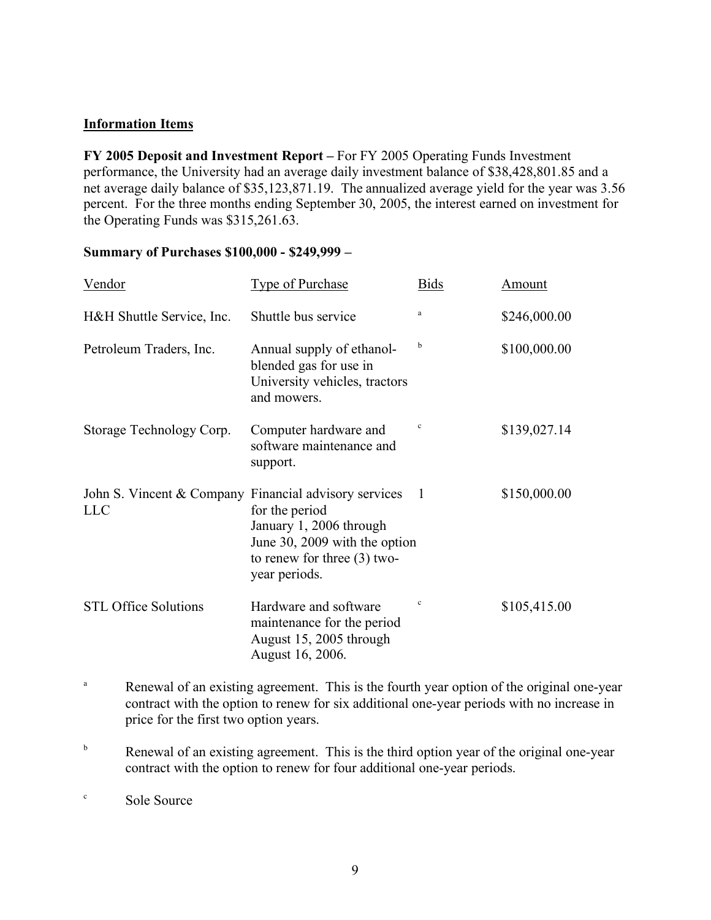# **Information Items**

**FY 2005 Deposit and Investment Report –** For FY 2005 Operating Funds Investment performance, the University had an average daily investment balance of \$38,428,801.85 and a net average daily balance of \$35,123,871.19. The annualized average yield for the year was 3.56 percent. For the three months ending September 30, 2005, the interest earned on investment for the Operating Funds was \$315,261.63.

## **Summary of Purchases \$100,000 - \$249,999 –**

| <u>Vendor</u>                                                       | <b>Type of Purchase</b>                                                                                                      | <b>Bids</b>    | Amount       |
|---------------------------------------------------------------------|------------------------------------------------------------------------------------------------------------------------------|----------------|--------------|
| H&H Shuttle Service, Inc.                                           | Shuttle bus service                                                                                                          | a              | \$246,000.00 |
| Petroleum Traders, Inc.                                             | Annual supply of ethanol-<br>blended gas for use in<br>University vehicles, tractors<br>and mowers.                          | b              | \$100,000.00 |
| Storage Technology Corp.                                            | Computer hardware and<br>software maintenance and<br>support.                                                                | $\mathbf c$    | \$139,027.14 |
| John S. Vincent & Company Financial advisory services<br><b>LLC</b> | for the period<br>January 1, 2006 through<br>June 30, 2009 with the option<br>to renew for three $(3)$ two-<br>year periods. | $\overline{1}$ | \$150,000.00 |
| <b>STL Office Solutions</b>                                         | Hardware and software<br>maintenance for the period<br>August 15, 2005 through<br>August 16, 2006.                           | $\mathbf c$    | \$105,415.00 |

- <sup>a</sup> Renewal of an existing agreement. This is the fourth year option of the original one-year contract with the option to renew for six additional one-year periods with no increase in price for the first two option years.
- <sup>b</sup> Renewal of an existing agreement. This is the third option year of the original one-year contract with the option to renew for four additional one-year periods.

<sup>c</sup> Sole Source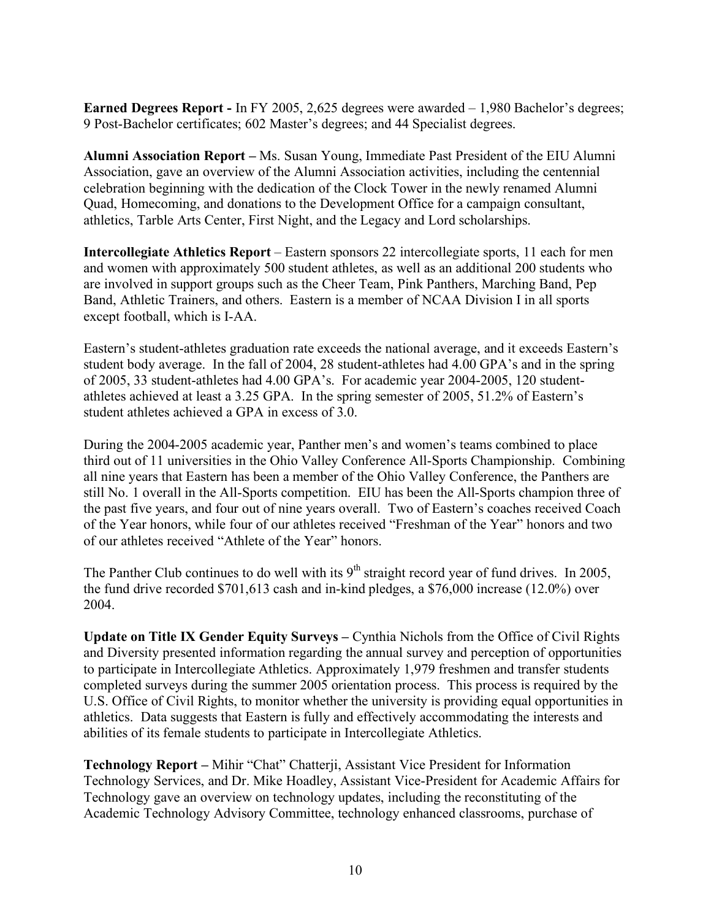**Earned Degrees Report -** In FY 2005, 2,625 degrees were awarded – 1,980 Bachelor's degrees; 9 Post-Bachelor certificates; 602 Master's degrees; and 44 Specialist degrees.

**Alumni Association Report –** Ms. Susan Young, Immediate Past President of the EIU Alumni Association, gave an overview of the Alumni Association activities, including the centennial celebration beginning with the dedication of the Clock Tower in the newly renamed Alumni Quad, Homecoming, and donations to the Development Office for a campaign consultant, athletics, Tarble Arts Center, First Night, and the Legacy and Lord scholarships.

**Intercollegiate Athletics Report** – Eastern sponsors 22 intercollegiate sports, 11 each for men and women with approximately 500 student athletes, as well as an additional 200 students who are involved in support groups such as the Cheer Team, Pink Panthers, Marching Band, Pep Band, Athletic Trainers, and others. Eastern is a member of NCAA Division I in all sports except football, which is I-AA.

Eastern's student-athletes graduation rate exceeds the national average, and it exceeds Eastern's student body average. In the fall of 2004, 28 student-athletes had 4.00 GPA's and in the spring of 2005, 33 student-athletes had 4.00 GPA's. For academic year 2004-2005, 120 studentathletes achieved at least a 3.25 GPA. In the spring semester of 2005, 51.2% of Eastern's student athletes achieved a GPA in excess of 3.0.

During the 2004-2005 academic year, Panther men's and women's teams combined to place third out of 11 universities in the Ohio Valley Conference All-Sports Championship. Combining all nine years that Eastern has been a member of the Ohio Valley Conference, the Panthers are still No. 1 overall in the All-Sports competition. EIU has been the All-Sports champion three of the past five years, and four out of nine years overall. Two of Eastern's coaches received Coach of the Year honors, while four of our athletes received "Freshman of the Year" honors and two of our athletes received "Athlete of the Year" honors.

The Panther Club continues to do well with its  $9<sup>th</sup>$  straight record year of fund drives. In 2005, the fund drive recorded \$701,613 cash and in-kind pledges, a \$76,000 increase (12.0%) over 2004.

**Update on Title IX Gender Equity Surveys –** Cynthia Nichols from the Office of Civil Rights and Diversity presented information regarding the annual survey and perception of opportunities to participate in Intercollegiate Athletics. Approximately 1,979 freshmen and transfer students completed surveys during the summer 2005 orientation process. This process is required by the U.S. Office of Civil Rights, to monitor whether the university is providing equal opportunities in athletics. Data suggests that Eastern is fully and effectively accommodating the interests and abilities of its female students to participate in Intercollegiate Athletics.

**Technology Report** – Mihir "Chat" Chatterji, Assistant Vice President for Information Technology Services, and Dr. Mike Hoadley, Assistant Vice-President for Academic Affairs for Technology gave an overview on technology updates, including the reconstituting of the Academic Technology Advisory Committee, technology enhanced classrooms, purchase of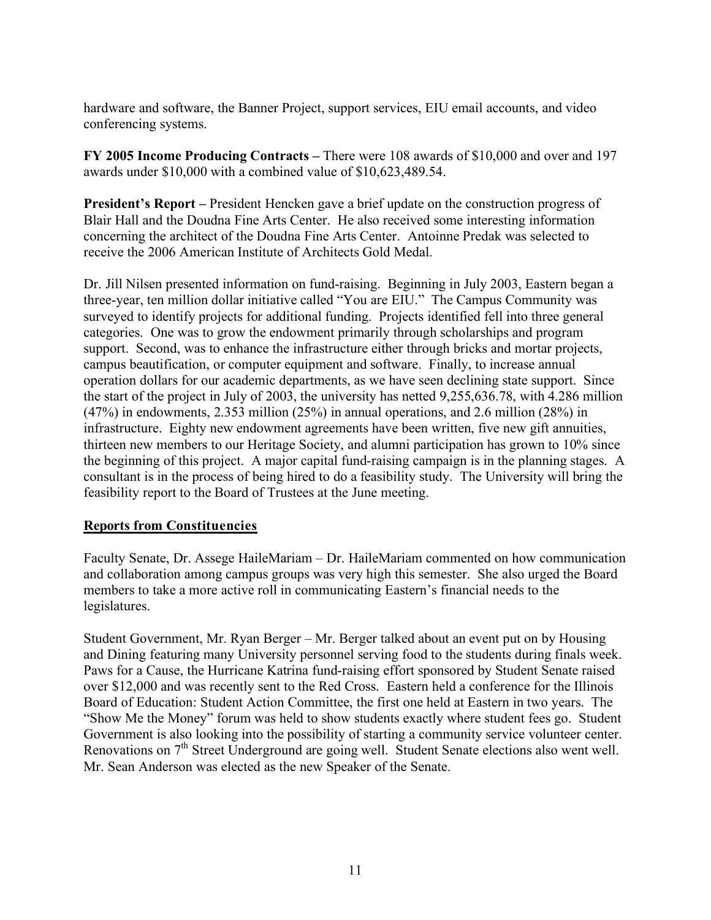hardware and software, the Banner Project, support services, EIU email accounts, and video conferencing systems.

**FY 2005 Income Producing Contracts –** There were 108 awards of \$10,000 and over and 197 awards under \$10,000 with a combined value of \$10,623,489.54.

**President's Report –** President Hencken gave a brief update on the construction progress of Blair Hall and the Doudna Fine Arts Center. He also received some interesting information concerning the architect of the Doudna Fine Arts Center. Antoinne Predak was selected to receive the 2006 American Institute of Architects Gold Medal.

Dr. Jill Nilsen presented information on fund-raising. Beginning in July 2003, Eastern began a three-year, ten million dollar initiative called "You are EIU." The Campus Community was surveyed to identify projects for additional funding. Projects identified fell into three general categories. One was to grow the endowment primarily through scholarships and program support. Second, was to enhance the infrastructure either through bricks and mortar projects, campus beautification, or computer equipment and software. Finally, to increase annual operation dollars for our academic departments, as we have seen declining state support. Since the start of the project in July of 2003, the university has netted 9,255,636.78, with 4.286 million (47%) in endowments, 2.353 million (25%) in annual operations, and 2.6 million (28%) in infrastructure. Eighty new endowment agreements have been written, five new gift annuities, thirteen new members to our Heritage Society, and alumni participation has grown to 10% since the beginning of this project. A major capital fund-raising campaign is in the planning stages. A consultant is in the process of being hired to do a feasibility study. The University will bring the feasibility report to the Board of Trustees at the June meeting.

# **Reports from Constituencies**

Faculty Senate, Dr. Assege HaileMariam – Dr. HaileMariam commented on how communication and collaboration among campus groups was very high this semester. She also urged the Board members to take a more active roll in communicating Eastern's financial needs to the legislatures.

Student Government, Mr. Ryan Berger – Mr. Berger talked about an event put on by Housing and Dining featuring many University personnel serving food to the students during finals week. Paws for a Cause, the Hurricane Katrina fund-raising effort sponsored by Student Senate raised over \$12,000 and was recently sent to the Red Cross. Eastern held a conference for the Illinois Board of Education: Student Action Committee, the first one held at Eastern in two years. The "Show Me the Money" forum was held to show students exactly where student fees go. Student Government is also looking into the possibility of starting a community service volunteer center. Renovations on  $7<sup>th</sup>$  Street Underground are going well. Student Senate elections also went well. Mr. Sean Anderson was elected as the new Speaker of the Senate.